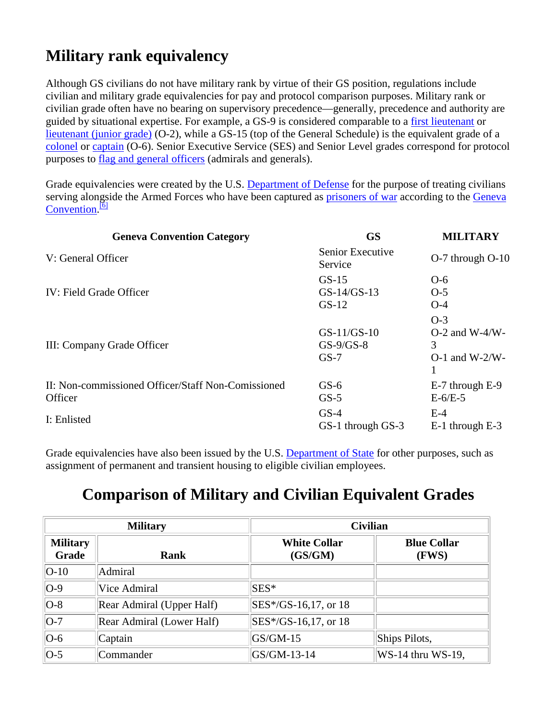## **Military rank equivalency**

Although GS civilians do not have military rank by virtue of their GS position, regulations include civilian and military grade equivalencies for pay and protocol comparison purposes. Military rank or civilian grade often have no bearing on supervisory precedence—generally, precedence and authority are guided by situational expertise. For example, a GS-9 is considered comparable to a [first lieutenant](http://en.wikipedia.org/wiki/First_Lieutenant#US_Army.2C_US_Marine_Corps_and_US_Air_Force) or [lieutenant \(junior grade\)](http://en.wikipedia.org/wiki/Lieutenant_(junior_grade)) (O-2), while a GS-15 (top of the General Schedule) is the equivalent grade of a [colonel](http://en.wikipedia.org/wiki/Colonel_(United_States)) or [captain](http://en.wikipedia.org/wiki/Captain_(United_States)#US_Navy.2C_US_Coast_Guard.2C_US_Public_Health_Service.2C_and_National_Oceanic_and_Atmospheric_Administration) (O-6). Senior Executive Service (SES) and Senior Level grades correspond for protocol purposes to flag [and general officers](http://en.wikipedia.org/wiki/Flag_officer) (admirals and generals).

Grade equivalencies were created by the U.S. [Department of Defense](http://en.wikipedia.org/wiki/United_States_Department_of_Defense) for the purpose of treating civilians serving alongside the Armed Forces who have been captured as [prisoners of war](http://en.wikipedia.org/wiki/Prisoner_of_war) according to the Geneva [Convention.](http://en.wikipedia.org/wiki/Third_Geneva_Convention)<sup>[\[6\]](http://en.wikipedia.org/wiki/General_Schedule#cite_note-5#cite_note-5)</sup>

| <b>Geneva Convention Category</b>                                            | <b>GS</b>                                       | <b>MILITARY</b>                                              |
|------------------------------------------------------------------------------|-------------------------------------------------|--------------------------------------------------------------|
| V: General Officer                                                           | Senior Executive<br>Service                     | O-7 through O-10                                             |
| IV: Field Grade Officer                                                      | $GS-15$<br>$GS-14/GS-13$<br>$GS-12$             | $O-6$<br>$O-5$<br>$O-4$                                      |
| III: Company Grade Officer                                                   | $GS-11/GS-10$<br>$GS-9/GS-8$<br>$GS-7$          | $O-3$<br>$O-2$ and W-4/W-<br>3<br>$O-1$ and W-2/W-           |
| II: Non-commissioned Officer/Staff Non-Comissioned<br>Officer<br>I: Enlisted | $GS-6$<br>$GS-5$<br>$GS-4$<br>GS-1 through GS-3 | E-7 through E-9<br>$E-6/E-5$<br>$E-4$<br>$E-1$ through $E-3$ |
|                                                                              |                                                 |                                                              |

Grade equivalencies have also been issued by the U.S. [Department of State](http://en.wikipedia.org/wiki/Department_of_State) for other purposes, such as assignment of permanent and transient housing to eligible civilian employees.

## **Comparison of Military and Civilian Equivalent Grades**

| <b>Military</b>          |                           | <b>Civilian</b>                |                             |  |
|--------------------------|---------------------------|--------------------------------|-----------------------------|--|
| <b>Military</b><br>Grade | Rank                      | <b>White Collar</b><br>(GS/GM) | <b>Blue Collar</b><br>(FWS) |  |
| $ O-10 $                 | Admiral                   |                                |                             |  |
| $ O-9 $                  | Vice Admiral              | $SES^*$                        |                             |  |
| $ O-8 $                  | Rear Admiral (Upper Half) | SES*/GS-16,17, or 18           |                             |  |
| $ O-7 $                  | Rear Admiral (Lower Half) | SES*/GS-16,17, or 18           |                             |  |
| $ O-6 $                  | Captain                   | $GS/GM-15$                     | Ships Pilots,               |  |
| $ O-5 $                  | Commander                 | $GS/GM-13-14$                  | $WS-14$ thru WS-19,         |  |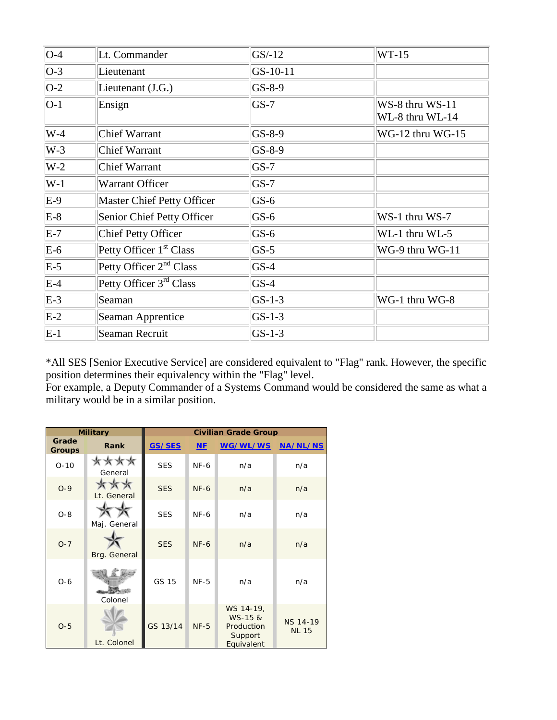| $O-4$   | Lt. Commander                       | $GS/-12$   | $WT-15$                            |
|---------|-------------------------------------|------------|------------------------------------|
| $ O-3 $ | Lieutenant                          | $GS-10-11$ |                                    |
| $ O-2 $ | Lieutenant (J.G.)                   | $GS-8-9$   |                                    |
| $ O-1 $ | Ensign                              | $ GS-7 $   | WS-8 thru WS-11<br>WL-8 thru WL-14 |
| $W-4$   | <b>Chief Warrant</b>                | $GS-8-9$   | WG-12 thru WG-15                   |
| $W-3$   | <b>Chief Warrant</b>                | $GS-8-9$   |                                    |
| $W-2$   | Chief Warrant                       | $GS-7$     |                                    |
| $W-1$   | Warrant Officer                     | $GS-7$     |                                    |
| $E-9$   | <b>Master Chief Petty Officer</b>   | $GS-6$     |                                    |
| $E-8$   | Senior Chief Petty Officer          | $GS-6$     | WS-1 thru WS-7                     |
| $E-7$   | Chief Petty Officer                 | $GS-6$     | WL-1 thru WL-5                     |
| $E-6$   | Petty Officer 1 <sup>st</sup> Class | $GS-5$     | WG-9 thru WG-11                    |
| $E-5$   | Petty Officer $2^{nd}$ Class        | $GS-4$     |                                    |
| $E-4$   | Petty Officer 3 <sup>rd</sup> Class | $GS-4$     |                                    |
| $E-3$   | Seaman                              | $GS-1-3$   | WG-1 thru WG-8                     |
| $E-2$   | Seaman Apprentice                   | $GS-1-3$   |                                    |
| $E-1$   | Seaman Recruit                      | $GS-1-3$   |                                    |

\*All SES [Senior Executive Service] are considered equivalent to "Flag" rank. However, the specific position determines their equivalency within the "Flag" level.

For example, a Deputy Commander of a Systems Command would be considered the same as what a military would be in a similar position.

| <b>Military</b>        |                                  | <b>Civilian Grade Group</b> |        |                                                             |                                 |
|------------------------|----------------------------------|-----------------------------|--------|-------------------------------------------------------------|---------------------------------|
| Grade<br><b>Groups</b> | Rank                             | GS/SES                      | $NE$   | WG/WL/WS                                                    | <b>NA/NL/NS</b>                 |
| $O-10$                 | ****<br>General                  | <b>SES</b>                  | $NF-6$ | n/a                                                         | n/a                             |
| $O-9$                  | $* \times \times$<br>Lt. General | <b>SES</b>                  | $NF-6$ | n/a                                                         | n/a                             |
| $O-8$                  | Maj. General                     | <b>SES</b>                  | $NF-6$ | n/a                                                         | n/a                             |
| $O - 7$                | Brg. General                     | <b>SES</b>                  | $NF-6$ | n/a                                                         | n/a                             |
| $O-6$                  | Colonel                          | GS 15                       | $NF-5$ | n/a                                                         | n/a                             |
| $O-5$                  | Lt. Colonel                      | GS 13/14                    | $NF-5$ | WS 14-19,<br>WS-15 &<br>Production<br>Support<br>Equivalent | <b>NS 14-19</b><br><b>NL 15</b> |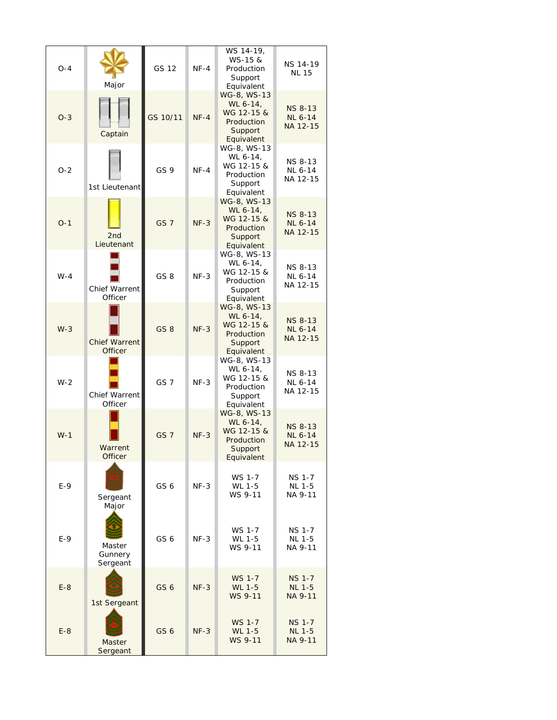| $O-4$ | Major                                  | GS 12           | $NF-4$ | WS 14-19,<br>WS-15 &<br>Production<br>Support<br>Equivalent                  | <b>NS 14-19</b><br><b>NL 15</b>              |
|-------|----------------------------------------|-----------------|--------|------------------------------------------------------------------------------|----------------------------------------------|
| $O-3$ | Captain                                | GS 10/11        | $NF-4$ | WG-8, WS-13<br>WL 6-14,<br>WG 12-15 &<br>Production<br>Support<br>Equivalent | <b>NS 8-13</b><br><b>NL 6-14</b><br>NA 12-15 |
| $O-2$ | 1st Lieutenant                         | GS <sub>9</sub> | $NF-4$ | WG-8, WS-13<br>WL 6-14,<br>WG 12-15 &<br>Production<br>Support<br>Equivalent | NS 8-13<br>NL 6-14<br>NA 12-15               |
| $O-1$ | 2nd<br>Lieutenant                      | GS <sub>7</sub> | $NF-3$ | WG-8, WS-13<br>WL 6-14,<br>WG 12-15 &<br>Production<br>Support<br>Equivalent | <b>NS 8-13</b><br><b>NL 6-14</b><br>NA 12-15 |
| $W-4$ | <b>Chief Warrent</b><br>Officer        | GS <sub>8</sub> | $NF-3$ | WG-8, WS-13<br>WL 6-14,<br>WG 12-15 &<br>Production<br>Support<br>Equivalent | <b>NS 8-13</b><br>NL 6-14<br>NA 12-15        |
| $W-3$ | <b>Chief Warrent</b><br><b>Officer</b> | GS <sub>8</sub> | $NF-3$ | WG-8, WS-13<br>WL 6-14,<br>WG 12-15 &<br>Production<br>Support<br>Equivalent | <b>NS 8-13</b><br><b>NL 6-14</b><br>NA 12-15 |
| $W-2$ | Chief Warrent<br>Officer               | GS <sub>7</sub> | $NF-3$ | WG-8, WS-13<br>WL 6-14,<br>WG 12-15 &<br>Production<br>Support<br>Equivalent | <b>NS 8-13</b><br>NL 6-14<br>NA 12-15        |
| $W-1$ | Warrent<br>Officer                     | GS <sub>7</sub> | $NF-3$ | WG-8, WS-13<br>WL 6-14,<br>WG 12-15 &<br>Production<br>Support<br>Equivalent | <b>NS 8-13</b><br><b>NL 6-14</b><br>NA 12-15 |
| $E-9$ | Sergeant<br>Major                      | GS <sub>6</sub> | $NF-3$ | WS 1-7<br>WL 1-5<br>WS 9-11                                                  | <b>NS 1-7</b><br><b>NL 1-5</b><br>NA 9-11    |
| $E-9$ | Master<br>Gunnery<br>Sergeant          | GS <sub>6</sub> | $NF-3$ | WS 1-7<br>WL 1-5<br>WS 9-11                                                  | <b>NS 1-7</b><br><b>NL 1-5</b><br>NA 9-11    |
| $E-8$ | 1st Sergeant                           | GS <sub>6</sub> | $NF-3$ | WS 1-7<br>WL 1-5<br>WS 9-11                                                  | <b>NS 1-7</b><br><b>NL 1-5</b><br>NA 9-11    |
| $E-8$ | Master<br>Sergeant                     | GS <sub>6</sub> | $NF-3$ | WS 1-7<br>WL 1-5<br>WS 9-11                                                  | <b>NS 1-7</b><br><b>NL 1-5</b><br>NA 9-11    |